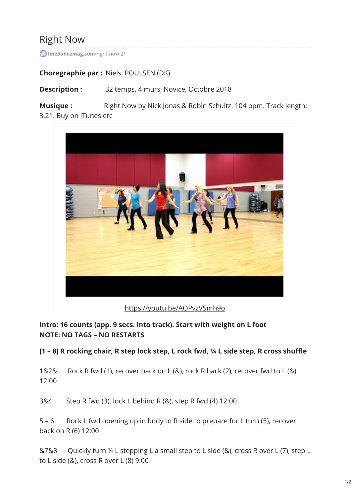# Right Now

**[linedancemag.com](https://www.linedancemag.com/right-now-2/)**/right-now-2/

#### **Choregraphie par :** Niels POULSEN (DK)

**Description :** 32 temps, 4 murs, Novice, Octobre 2018

**Musique :** Right Now by Nick Jonas & Robin Schultz. 104 bpm. Track length: 3.21. Buy on iTunes etc



**Intro: 16 counts (app. 9 secs. into track). Start with weight on L foot NOTE: NO TAGS – NO RESTARTS**

[1 - 8] R rocking chair, R step lock step, L rock fwd, 1/4 L side step, R cross shuffle

1&2& Rock R fwd (1), recover back on L (&), rock R back (2), recover fwd to L (&) 12:00

3&4 Step R fwd (3), lock L behind R (&), step R fwd (4) 12:00

5 – 6 Rock L fwd opening up in body to R side to prepare for L turn (5), recover back on R (6) 12:00

&7&8 Quickly turn ¼ L stepping L a small step to L side (&), cross R over L (7), step L to L side (&), cross R over L (8) 9:00